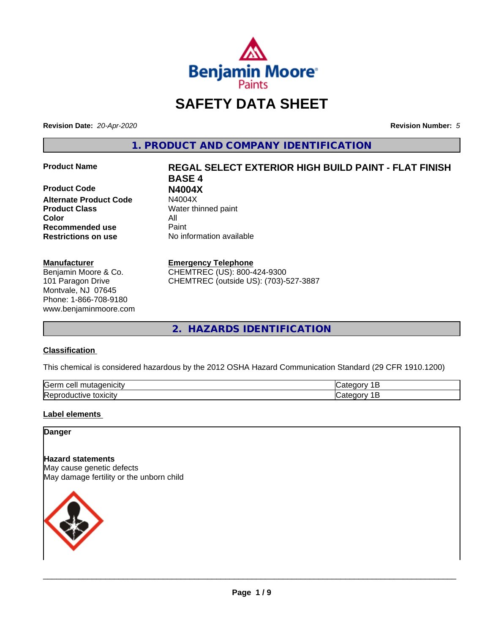

# **SAFETY DATA SHEET**

**Revision Date:** *20-Apr-2020* **Revision Number:** *5*

**1. PRODUCT AND COMPANY IDENTIFICATION**

**Product Code N4004X Alternate Product Code Product Class** Water thinned paint **Color** All **Recommended use** Paint **Restrictions on use** No information available

# **Manufacturer**

Benjamin Moore & Co. 101 Paragon Drive Montvale, NJ 07645 Phone: 1-866-708-9180 www.benjaminmoore.com

# **Product Name REGAL SELECT EXTERIOR HIGH BUILD PAINT - FLAT FINISH BASE 4**

# **Emergency Telephone**

CHEMTREC (US): 800-424-9300 CHEMTREC (outside US): (703)-527-3887

**2. HAZARDS IDENTIFICATION**

# **Classification**

This chemical is considered hazardous by the 2012 OSHA Hazard Communication Standard (29 CFR 1910.1200)

| <b>Serr</b><br>---<br>$\cdot$         |  |
|---------------------------------------|--|
| <b>Re</b><br>*OXICItV<br>11<br>и<br>ш |  |

# **Label elements**

# **Danger**

**Hazard statements** May cause genetic defects May damage fertility or the unborn child

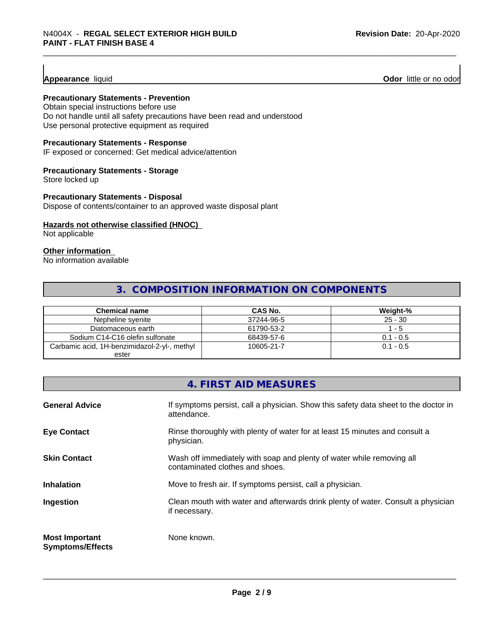**Appearance** liquid **Odor 11** Odor little or no odor

# **Precautionary Statements - Prevention**

Obtain special instructions before use Do not handle until all safety precautions have been read and understood Use personal protective equipment as required

# **Precautionary Statements - Response**

IF exposed or concerned: Get medical advice/attention

# **Precautionary Statements - Storage**

Store locked up

# **Precautionary Statements - Disposal**

Dispose of contents/container to an approved waste disposal plant

# **Hazards not otherwise classified (HNOC)**

Not applicable

# **Other information**

No information available

# **3. COMPOSITION INFORMATION ON COMPONENTS**

| Chemical name                                | CAS No.    | Weight-%    |
|----------------------------------------------|------------|-------------|
| Nepheline svenite                            | 37244-96-5 | $25 - 30$   |
| Diatomaceous earth                           | 61790-53-2 | - 5         |
| Sodium C14-C16 olefin sulfonate              | 68439-57-6 | $0.1 - 0.5$ |
| Carbamic acid, 1H-benzimidazol-2-yl-, methyl | 10605-21-7 | $0.1 - 0.5$ |
| ester                                        |            |             |

|                                                  | 4. FIRST AID MEASURES                                                                                    |
|--------------------------------------------------|----------------------------------------------------------------------------------------------------------|
| <b>General Advice</b>                            | If symptoms persist, call a physician. Show this safety data sheet to the doctor in<br>attendance.       |
| <b>Eye Contact</b>                               | Rinse thoroughly with plenty of water for at least 15 minutes and consult a<br>physician.                |
| <b>Skin Contact</b>                              | Wash off immediately with soap and plenty of water while removing all<br>contaminated clothes and shoes. |
| <b>Inhalation</b>                                | Move to fresh air. If symptoms persist, call a physician.                                                |
| Ingestion                                        | Clean mouth with water and afterwards drink plenty of water. Consult a physician<br>if necessary.        |
| <b>Most Important</b><br><b>Symptoms/Effects</b> | None known.                                                                                              |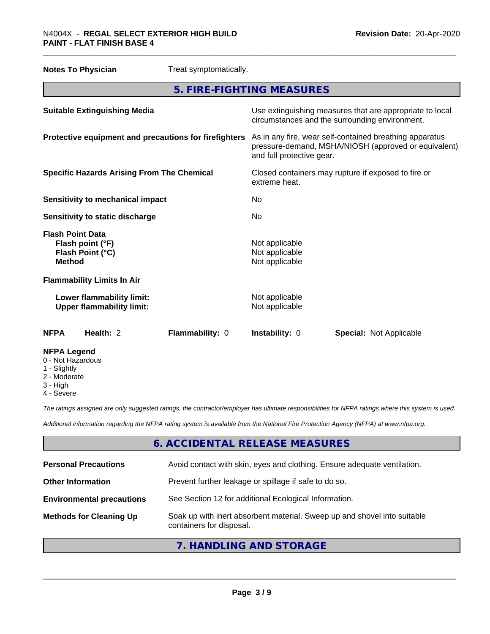# \_\_\_\_\_\_\_\_\_\_\_\_\_\_\_\_\_\_\_\_\_\_\_\_\_\_\_\_\_\_\_\_\_\_\_\_\_\_\_\_\_\_\_\_\_\_\_\_\_\_\_\_\_\_\_\_\_\_\_\_\_\_\_\_\_\_\_\_\_\_\_\_\_\_\_\_\_\_\_\_\_\_\_\_\_\_\_\_\_\_\_\_\_ N4004X - **REGAL SELECT EXTERIOR HIGH BUILD PAINT - FLAT FINISH BASE 4**

| <b>Notes To Physician</b>                                                        | Treat symptomatically.                                |                                                                                                                                              |                                                                                                            |
|----------------------------------------------------------------------------------|-------------------------------------------------------|----------------------------------------------------------------------------------------------------------------------------------------------|------------------------------------------------------------------------------------------------------------|
|                                                                                  | 5. FIRE-FIGHTING MEASURES                             |                                                                                                                                              |                                                                                                            |
| <b>Suitable Extinguishing Media</b>                                              |                                                       |                                                                                                                                              | Use extinguishing measures that are appropriate to local<br>circumstances and the surrounding environment. |
|                                                                                  | Protective equipment and precautions for firefighters | As in any fire, wear self-contained breathing apparatus<br>pressure-demand, MSHA/NIOSH (approved or equivalent)<br>and full protective gear. |                                                                                                            |
|                                                                                  | <b>Specific Hazards Arising From The Chemical</b>     | Closed containers may rupture if exposed to fire or<br>extreme heat.                                                                         |                                                                                                            |
|                                                                                  | <b>Sensitivity to mechanical impact</b>               |                                                                                                                                              |                                                                                                            |
| Sensitivity to static discharge                                                  |                                                       | No.                                                                                                                                          |                                                                                                            |
| <b>Flash Point Data</b><br>Flash point (°F)<br>Flash Point (°C)<br><b>Method</b> |                                                       | Not applicable<br>Not applicable<br>Not applicable                                                                                           |                                                                                                            |
| <b>Flammability Limits In Air</b>                                                |                                                       |                                                                                                                                              |                                                                                                            |
| Lower flammability limit:<br><b>Upper flammability limit:</b>                    |                                                       | Not applicable<br>Not applicable                                                                                                             |                                                                                                            |
| Health: 2<br><b>NFPA</b>                                                         | Flammability: 0                                       | Instability: 0                                                                                                                               | <b>Special: Not Applicable</b>                                                                             |
| <b>NFPA Legend</b><br>0 - Not Hazardous<br>1 - Slightly                          |                                                       |                                                                                                                                              |                                                                                                            |

- Slightly
- 2 Moderate
- 3 High
- 4 Severe

*The ratings assigned are only suggested ratings, the contractor/employer has ultimate responsibilities for NFPA ratings where this system is used.*

*Additional information regarding the NFPA rating system is available from the National Fire Protection Agency (NFPA) at www.nfpa.org.*

# **6. ACCIDENTAL RELEASE MEASURES**

| <b>Personal Precautions</b>      | Avoid contact with skin, eyes and clothing. Ensure adequate ventilation.                             |
|----------------------------------|------------------------------------------------------------------------------------------------------|
| <b>Other Information</b>         | Prevent further leakage or spillage if safe to do so.                                                |
| <b>Environmental precautions</b> | See Section 12 for additional Ecological Information.                                                |
| <b>Methods for Cleaning Up</b>   | Soak up with inert absorbent material. Sweep up and shovel into suitable<br>containers for disposal. |
|                                  |                                                                                                      |

# **7. HANDLING AND STORAGE**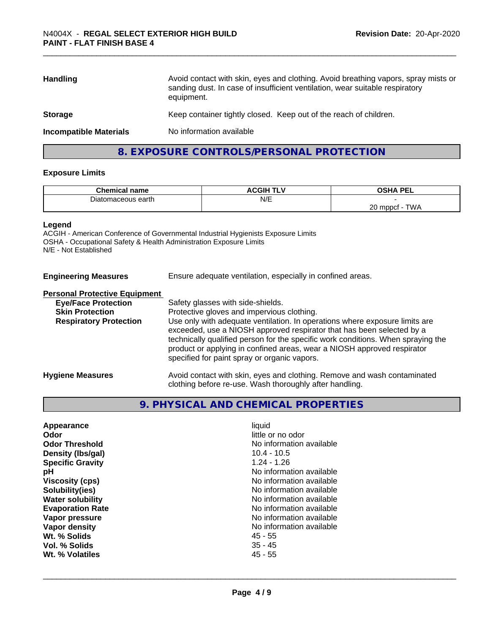| Avoid contact with skin, eyes and clothing. Avoid breathing vapors, spray mists or<br>sanding dust. In case of insufficient ventilation, wear suitable respiratory<br>equipment. |
|----------------------------------------------------------------------------------------------------------------------------------------------------------------------------------|
| Keep container tightly closed. Keep out of the reach of children.                                                                                                                |
| No information available                                                                                                                                                         |
|                                                                                                                                                                                  |

# **8. EXPOSURE CONTROLS/PERSONAL PROTECTION**

# **Exposure Limits**

| $\mathbf{A}$<br>name           | $3.0.011$ minimum<br>חוטשא<br>. . | OCUA DEI<br>--                 |
|--------------------------------|-----------------------------------|--------------------------------|
| าaceous earth<br>лак<br>ு புகூ | N/E                               |                                |
|                                |                                   | $\sim$<br>T111<br>, mnnot<br>∼ |

# **Legend**

ACGIH - American Conference of Governmental Industrial Hygienists Exposure Limits OSHA - Occupational Safety & Health Administration Exposure Limits N/E - Not Established

| <b>Engineering Measures</b>          | Ensure adequate ventilation, especially in confined areas. |
|--------------------------------------|------------------------------------------------------------|
| <b>Personal Protective Faujoment</b> |                                                            |

# **Personal Protective Equipment**

| <b>Eye/Face Protection</b>    | Safety glasses with side-shields.                                                                                                                                                                           |
|-------------------------------|-------------------------------------------------------------------------------------------------------------------------------------------------------------------------------------------------------------|
| <b>Skin Protection</b>        | Protective gloves and impervious clothing.                                                                                                                                                                  |
| <b>Respiratory Protection</b> | Use only with adequate ventilation. In operations where exposure limits are                                                                                                                                 |
|                               | exceeded, use a NIOSH approved respirator that has been selected by a                                                                                                                                       |
|                               | technically qualified person for the specific work conditions. When spraying the<br>product or applying in confined areas, wear a NIOSH approved respirator<br>specified for paint spray or organic vapors. |
| <b>Hygiene Measures</b>       | Avoid contact with skin, eyes and clothing. Remove and wash contaminated                                                                                                                                    |
|                               | clothing before re-use. Wash thoroughly after handling.                                                                                                                                                     |

# **9. PHYSICAL AND CHEMICAL PROPERTIES**

| Odor                    | little or no odor        |
|-------------------------|--------------------------|
| <b>Odor Threshold</b>   | No information available |
| Density (Ibs/gal)       | $10.4 - 10.5$            |
| <b>Specific Gravity</b> | $1.24 - 1.26$            |
| рH                      | No information available |
| Viscosity (cps)         | No information available |
| Solubility(ies)         | No information available |
| <b>Water solubility</b> | No information available |
| <b>Evaporation Rate</b> | No information available |
| Vapor pressure          | No information available |
| Vapor density           | No information available |
| Wt. % Solids            | 45 - 55                  |
| Vol. % Solids           | $35 - 45$                |
| Wt. % Volatiles         | $45 - 55$                |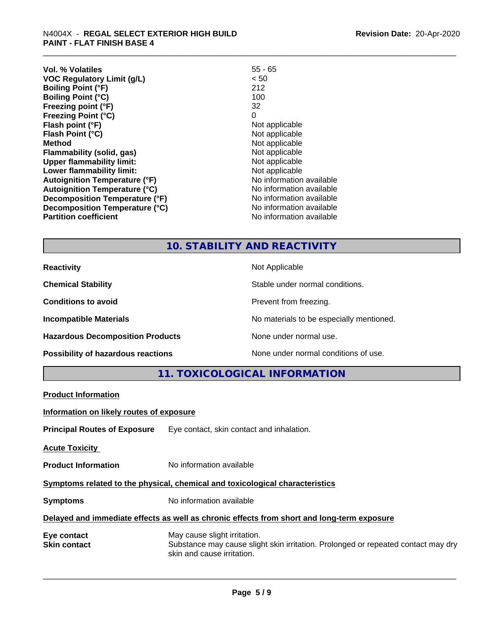| Vol. % Volatiles                     | $55 - 65$                |
|--------------------------------------|--------------------------|
| <b>VOC Regulatory Limit (g/L)</b>    | < 50                     |
| <b>Boiling Point (°F)</b>            | 212                      |
| <b>Boiling Point (°C)</b>            | 100                      |
| Freezing point (°F)                  | 32                       |
| <b>Freezing Point (°C)</b>           | 0                        |
| Flash point (°F)                     | Not applicable           |
| Flash Point (°C)                     | Not applicable           |
| <b>Method</b>                        | Not applicable           |
| <b>Flammability (solid, gas)</b>     | Not applicable           |
| <b>Upper flammability limit:</b>     | Not applicable           |
| Lower flammability limit:            | Not applicable           |
| <b>Autoignition Temperature (°F)</b> | No information available |
| <b>Autoignition Temperature (°C)</b> | No information available |
| Decomposition Temperature (°F)       | No information available |
| Decomposition Temperature (°C)       | No information available |
| <b>Partition coefficient</b>         | No information available |

# **10. STABILITY AND REACTIVITY**

| <b>Reactivity</b>                       | Not Applicable                           |
|-----------------------------------------|------------------------------------------|
| <b>Chemical Stability</b>               | Stable under normal conditions.          |
| <b>Conditions to avoid</b>              | Prevent from freezing.                   |
| <b>Incompatible Materials</b>           | No materials to be especially mentioned. |
| <b>Hazardous Decomposition Products</b> | None under normal use.                   |
| Possibility of hazardous reactions      | None under normal conditions of use.     |

**11. TOXICOLOGICAL INFORMATION**

| <b>Product Information</b>               |                                                                                                                                                 |  |
|------------------------------------------|-------------------------------------------------------------------------------------------------------------------------------------------------|--|
| Information on likely routes of exposure |                                                                                                                                                 |  |
|                                          | <b>Principal Routes of Exposure</b> Eye contact, skin contact and inhalation.                                                                   |  |
| <b>Acute Toxicity</b>                    |                                                                                                                                                 |  |
| <b>Product Information</b>               | No information available                                                                                                                        |  |
|                                          | Symptoms related to the physical, chemical and toxicological characteristics                                                                    |  |
| <b>Symptoms</b>                          | No information available                                                                                                                        |  |
|                                          | Delayed and immediate effects as well as chronic effects from short and long-term exposure                                                      |  |
| Eye contact<br><b>Skin contact</b>       | May cause slight irritation.<br>Substance may cause slight skin irritation. Prolonged or repeated contact may dry<br>skin and cause irritation. |  |
|                                          |                                                                                                                                                 |  |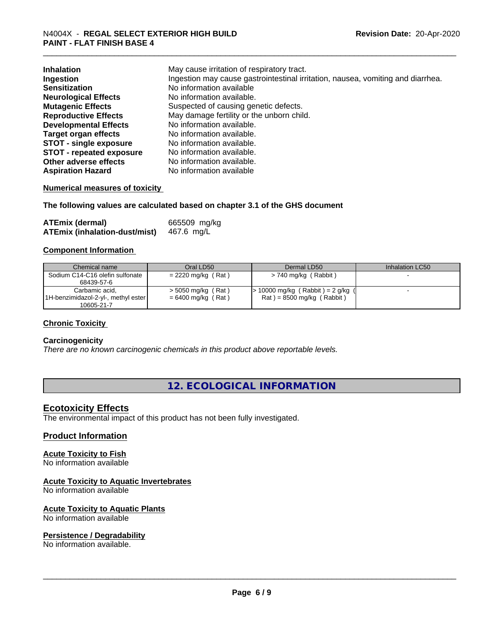| <b>Inhalation</b>               | May cause irritation of respiratory tract.                                      |
|---------------------------------|---------------------------------------------------------------------------------|
| Ingestion                       | Ingestion may cause gastrointestinal irritation, nausea, vomiting and diarrhea. |
| <b>Sensitization</b>            | No information available                                                        |
| <b>Neurological Effects</b>     | No information available.                                                       |
| <b>Mutagenic Effects</b>        | Suspected of causing genetic defects.                                           |
| <b>Reproductive Effects</b>     | May damage fertility or the unborn child.                                       |
| <b>Developmental Effects</b>    | No information available.                                                       |
| <b>Target organ effects</b>     | No information available.                                                       |
| <b>STOT - single exposure</b>   | No information available.                                                       |
| <b>STOT - repeated exposure</b> | No information available.                                                       |
| Other adverse effects           | No information available.                                                       |
| <b>Aspiration Hazard</b>        | No information available                                                        |

# **Numerical measures of toxicity**

# **The following values are calculated based on chapter 3.1 of the GHS document**

| <b>ATEmix (dermal)</b>               | 665509 mg/kg |
|--------------------------------------|--------------|
| <b>ATEmix (inhalation-dust/mist)</b> | 467.6 mg/L   |

# **Component Information**

| Chemical name                       | Oral LD50            | Dermal LD50                       | Inhalation LC50 |
|-------------------------------------|----------------------|-----------------------------------|-----------------|
| Sodium C14-C16 olefin sulfonate     | $= 2220$ mg/kg (Rat) | > 740 mg/kg (Rabbit)              |                 |
| 68439-57-6                          |                      |                                   |                 |
| Carbamic acid,                      | $>$ 5050 mg/kg (Rat) | - 10000 mg/kg (Rabbit) = 2 g/kg ( |                 |
| 1H-benzimidazol-2-yl-, methyl ester | $= 6400$ mg/kg (Rat) | $Rat$ = 8500 mg/kg (Rabbit)       |                 |
| 10605-21-7                          |                      |                                   |                 |

# **Chronic Toxicity**

#### **Carcinogenicity**

*There are no known carcinogenic chemicals in this product above reportable levels.*

# **12. ECOLOGICAL INFORMATION**

# **Ecotoxicity Effects**

The environmental impact of this product has not been fully investigated.

# **Product Information**

# **Acute Toxicity to Fish**

No information available

# **Acute Toxicity to Aquatic Invertebrates**

No information available

#### **Acute Toxicity to Aquatic Plants**

No information available

## **Persistence / Degradability**

No information available.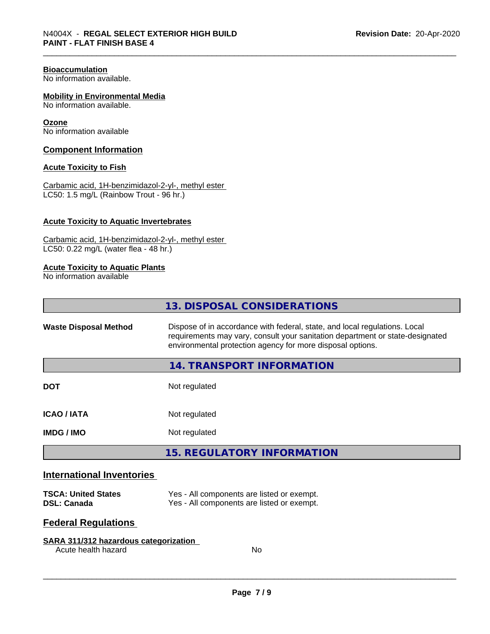# **Bioaccumulation**

No information available.

## **Mobility in Environmental Media**

No information available.

#### **Ozone**

No information available

# **Component Information**

# **Acute Toxicity to Fish**

Carbamic acid, 1H-benzimidazol-2-yl-, methyl ester LC50: 1.5 mg/L (Rainbow Trout - 96 hr.)

# **Acute Toxicity to Aquatic Invertebrates**

Carbamic acid, 1H-benzimidazol-2-yl-, methyl ester LC50: 0.22 mg/L (water flea - 48 hr.)

# **Acute Toxicity to Aquatic Plants**

No information available

| <b>13. DISPOSAL CONSIDERATIONS</b>                                                                                                                                                                                                                        |  |
|-----------------------------------------------------------------------------------------------------------------------------------------------------------------------------------------------------------------------------------------------------------|--|
| Dispose of in accordance with federal, state, and local regulations. Local<br><b>Waste Disposal Method</b><br>requirements may vary, consult your sanitation department or state-designated<br>environmental protection agency for more disposal options. |  |
| 14. TRANSPORT INFORMATION                                                                                                                                                                                                                                 |  |
| <b>DOT</b><br>Not regulated                                                                                                                                                                                                                               |  |
| <b>ICAO / IATA</b><br>Not regulated                                                                                                                                                                                                                       |  |
| <b>IMDG / IMO</b><br>Not regulated                                                                                                                                                                                                                        |  |
| <b>15. REGULATORY INFORMATION</b>                                                                                                                                                                                                                         |  |
| <b>International Inventories</b>                                                                                                                                                                                                                          |  |
| Yes - All components are listed or exempt.<br><b>TSCA: United States</b><br>Yes - All components are listed or exempt.<br><b>DSL: Canada</b>                                                                                                              |  |

# **Federal Regulations**

# **SARA 311/312 hazardous categorization**

Acute health hazard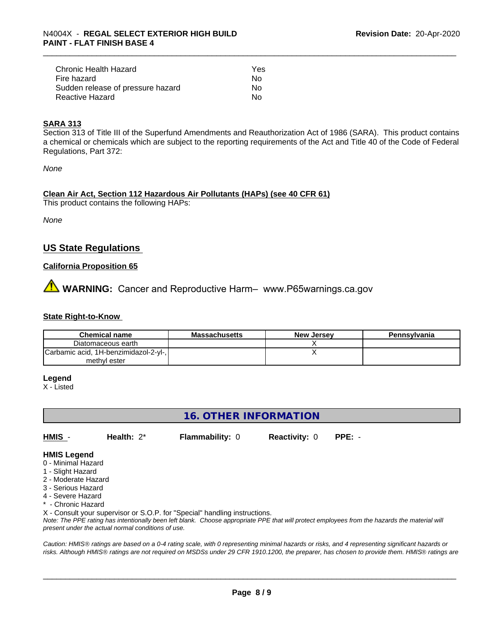| Chronic Health Hazard             | Yes |
|-----------------------------------|-----|
| Fire hazard                       | Nο  |
| Sudden release of pressure hazard | Nο  |
| Reactive Hazard                   | Nο  |

# **SARA 313**

Section 313 of Title III of the Superfund Amendments and Reauthorization Act of 1986 (SARA). This product contains a chemical or chemicals which are subject to the reporting requirements of the Act and Title 40 of the Code of Federal Regulations, Part 372:

*None*

# **Clean Air Act,Section 112 Hazardous Air Pollutants (HAPs) (see 40 CFR 61)**

This product contains the following HAPs:

*None*

# **US State Regulations**

# **California Proposition 65**

**WARNING:** Cancer and Reproductive Harm– www.P65warnings.ca.gov

# **State Right-to-Know**

| <b>Chemical name</b>                  | <b>Massachusetts</b> | <b>New Jersey</b> | Pennsylvania |
|---------------------------------------|----------------------|-------------------|--------------|
| Diatomaceous earth                    |                      |                   |              |
| Carbamic acid, 1H-benzimidazol-2-yl-, |                      |                   |              |
| methyl ester                          |                      |                   |              |

# **Legend**

X - Listed

# **16. OTHER INFORMATION**

**HMIS** - **Health:** 2\* **Flammability:** 0 **Reactivity:** 0 **PPE:** -

# **HMIS Legend**

- 0 Minimal Hazard
- 1 Slight Hazard
- 2 Moderate Hazard
- 3 Serious Hazard
- 4 Severe Hazard
- \* Chronic Hazard

X - Consult your supervisor or S.O.P. for "Special" handling instructions.

*Note: The PPE rating has intentionally been left blank. Choose appropriate PPE that will protect employees from the hazards the material will present under the actual normal conditions of use.*

*Caution: HMISÒ ratings are based on a 0-4 rating scale, with 0 representing minimal hazards or risks, and 4 representing significant hazards or risks. Although HMISÒ ratings are not required on MSDSs under 29 CFR 1910.1200, the preparer, has chosen to provide them. HMISÒ ratings are*